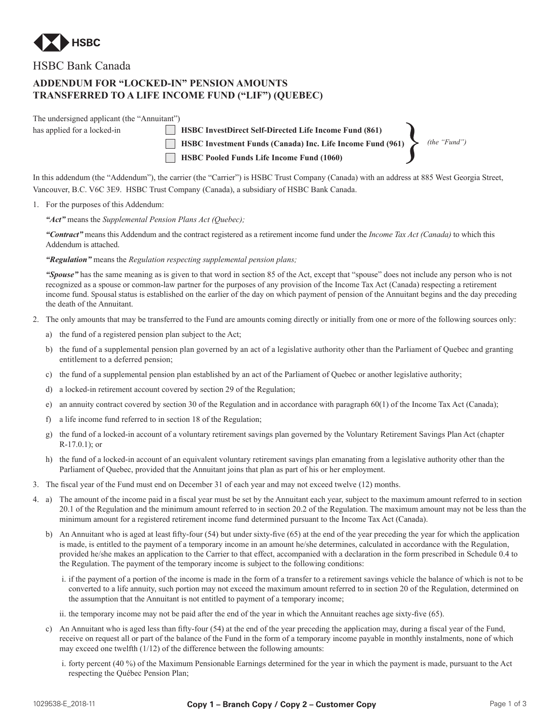

HSBC Bank Canada

## **ADDENDUM FOR "LOCKED-IN" PENSION AMOUNTS TRANSFERRED TO A LIFE INCOME FUND ("LIF") (QUEBEC)**

The undersigned applicant (the "Annuitant") has applied for a locked-in **HSBC InvestDirect Self-Directed Life Income Fund (861) EXECUTE:** HSBC InvestDirect Seir-Directed Life Income Fund (861)<br> **EXECUTE:** HSBC Investment Funds (Canada) Inc. Life Income Fund (961)

*(the "Fund")*

In this addendum (the "Addendum"), the carrier (the "Carrier") is HSBC Trust Company (Canada) with an address at 885 West Georgia Street, Vancouver, B.C. V6C 3E9. HSBC Trust Company (Canada), a subsidiary of HSBC Bank Canada.

**HSBC Pooled Funds Life Income Fund (1060)**

## 1. For the purposes of this Addendum:

*"Act"* means the *Supplemental Pension Plans Act (Quebec);*

*"Contract"* means this Addendum and the contract registered as a retirement income fund under the *Income Tax Act (Canada)* to which this Addendum is attached.

## *"Regulation"* means the *Regulation respecting supplemental pension plans;*

*"Spouse"* has the same meaning as is given to that word in section 85 of the Act, except that "spouse" does not include any person who is not recognized as a spouse or common-law partner for the purposes of any provision of the Income Tax Act (Canada) respecting a retirement income fund. Spousal status is established on the earlier of the day on which payment of pension of the Annuitant begins and the day preceding the death of the Annuitant.

- 2. The only amounts that may be transferred to the Fund are amounts coming directly or initially from one or more of the following sources only:
	- a) the fund of a registered pension plan subject to the Act;
	- b) the fund of a supplemental pension plan governed by an act of a legislative authority other than the Parliament of Quebec and granting entitlement to a deferred pension;
	- c) the fund of a supplemental pension plan established by an act of the Parliament of Quebec or another legislative authority;
	- d) a locked-in retirement account covered by section 29 of the Regulation;
	- e) an annuity contract covered by section 30 of the Regulation and in accordance with paragraph 60(1) of the Income Tax Act (Canada);
	- f) a life income fund referred to in section 18 of the Regulation;
	- g) the fund of a locked-in account of a voluntary retirement savings plan governed by the Voluntary Retirement Savings Plan Act (chapter R-17.0.1); or
	- h) the fund of a locked-in account of an equivalent voluntary retirement savings plan emanating from a legislative authority other than the Parliament of Quebec, provided that the Annuitant joins that plan as part of his or her employment.
- 3. The fiscal year of the Fund must end on December 31 of each year and may not exceed twelve (12) months.
- 4. a) The amount of the income paid in a fiscal year must be set by the Annuitant each year, subject to the maximum amount referred to in section 20.1 of the Regulation and the minimum amount referred to in section 20.2 of the Regulation. The maximum amount may not be less than the minimum amount for a registered retirement income fund determined pursuant to the Income Tax Act (Canada).
	- b) An Annuitant who is aged at least fifty-four (54) but under sixty-five (65) at the end of the year preceding the year for which the application is made, is entitled to the payment of a temporary income in an amount he/she determines, calculated in accordance with the Regulation, provided he/she makes an application to the Carrier to that effect, accompanied with a declaration in the form prescribed in Schedule 0.4 to the Regulation. The payment of the temporary income is subject to the following conditions:
		- i. if the payment of a portion of the income is made in the form of a transfer to a retirement savings vehicle the balance of which is not to be converted to a life annuity, such portion may not exceed the maximum amount referred to in section 20 of the Regulation, determined on the assumption that the Annuitant is not entitled to payment of a temporary income;
		- ii. the temporary income may not be paid after the end of the year in which the Annuitant reaches age sixty-five (65).
	- c) An Annuitant who is aged less than fifty-four (54) at the end of the year preceding the application may, during a fiscal year of the Fund, receive on request all or part of the balance of the Fund in the form of a temporary income payable in monthly instalments, none of which may exceed one twelfth (1/12) of the difference between the following amounts:
		- i. forty percent (40 %) of the Maximum Pensionable Earnings determined for the year in which the payment is made, pursuant to the Act respecting the Québec Pension Plan;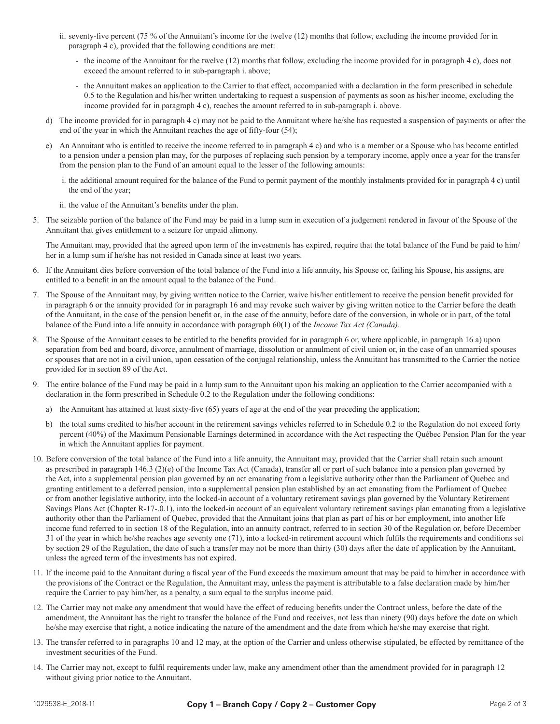- ii. seventy-five percent  $(75\%$  of the Annuitant's income for the twelve  $(12)$  months that follow, excluding the income provided for in paragraph 4 c), provided that the following conditions are met:
	- the income of the Annuitant for the twelve (12) months that follow, excluding the income provided for in paragraph 4 c), does not exceed the amount referred to in sub-paragraph i. above;
	- the Annuitant makes an application to the Carrier to that effect, accompanied with a declaration in the form prescribed in schedule 0.5 to the Regulation and his/her written undertaking to request a suspension of payments as soon as his/her income, excluding the income provided for in paragraph 4 c), reaches the amount referred to in sub-paragraph i. above.
- d) The income provided for in paragraph 4 c) may not be paid to the Annuitant where he/she has requested a suspension of payments or after the end of the year in which the Annuitant reaches the age of fifty-four (54);
- e) An Annuitant who is entitled to receive the income referred to in paragraph 4 c) and who is a member or a Spouse who has become entitled to a pension under a pension plan may, for the purposes of replacing such pension by a temporary income, apply once a year for the transfer from the pension plan to the Fund of an amount equal to the lesser of the following amounts:
	- i. the additional amount required for the balance of the Fund to permit payment of the monthly instalments provided for in paragraph 4 c) until the end of the year;
	- ii. the value of the Annuitant's benefits under the plan.
- 5. The seizable portion of the balance of the Fund may be paid in a lump sum in execution of a judgement rendered in favour of the Spouse of the Annuitant that gives entitlement to a seizure for unpaid alimony.

The Annuitant may, provided that the agreed upon term of the investments has expired, require that the total balance of the Fund be paid to him/ her in a lump sum if he/she has not resided in Canada since at least two years.

- 6. If the Annuitant dies before conversion of the total balance of the Fund into a life annuity, his Spouse or, failing his Spouse, his assigns, are entitled to a benefit in an the amount equal to the balance of the Fund.
- 7. The Spouse of the Annuitant may, by giving written notice to the Carrier, waive his/her entitlement to receive the pension benefit provided for in paragraph 6 or the annuity provided for in paragraph 16 and may revoke such waiver by giving written notice to the Carrier before the death of the Annuitant, in the case of the pension benefit or, in the case of the annuity, before date of the conversion, in whole or in part, of the total balance of the Fund into a life annuity in accordance with paragraph 60(1) of the *Income Tax Act (Canada).*
- 8. The Spouse of the Annuitant ceases to be entitled to the benefits provided for in paragraph 6 or, where applicable, in paragraph 16 a) upon separation from bed and board, divorce, annulment of marriage, dissolution or annulment of civil union or, in the case of an unmarried spouses or spouses that are not in a civil union, upon cessation of the conjugal relationship, unless the Annuitant has transmitted to the Carrier the notice provided for in section 89 of the Act.
- 9. The entire balance of the Fund may be paid in a lump sum to the Annuitant upon his making an application to the Carrier accompanied with a declaration in the form prescribed in Schedule 0.2 to the Regulation under the following conditions:
	- a) the Annuitant has attained at least sixty-five  $(65)$  years of age at the end of the year preceding the application;
	- b) the total sums credited to his/her account in the retirement savings vehicles referred to in Schedule 0.2 to the Regulation do not exceed forty percent (40%) of the Maximum Pensionable Earnings determined in accordance with the Act respecting the Québec Pension Plan for the year in which the Annuitant applies for payment.
- 10. Before conversion of the total balance of the Fund into a life annuity, the Annuitant may, provided that the Carrier shall retain such amount as prescribed in paragraph 146.3 (2)(e) of the Income Tax Act (Canada), transfer all or part of such balance into a pension plan governed by the Act, into a supplemental pension plan governed by an act emanating from a legislative authority other than the Parliament of Quebec and granting entitlement to a deferred pension, into a supplemental pension plan established by an act emanating from the Parliament of Quebec or from another legislative authority, into the locked-in account of a voluntary retirement savings plan governed by the Voluntary Retirement Savings Plans Act (Chapter R-17-.0.1), into the locked-in account of an equivalent voluntary retirement savings plan emanating from a legislative authority other than the Parliament of Quebec, provided that the Annuitant joins that plan as part of his or her employment, into another life income fund referred to in section 18 of the Regulation, into an annuity contract, referred to in section 30 of the Regulation or, before December 31 of the year in which he/she reaches age seventy one (71), into a locked-in retirement account which fulfils the requirements and conditions set by section 29 of the Regulation, the date of such a transfer may not be more than thirty (30) days after the date of application by the Annuitant, unless the agreed term of the investments has not expired.
- 11. If the income paid to the Annuitant during a fiscal year of the Fund exceeds the maximum amount that may be paid to him/her in accordance with the provisions of the Contract or the Regulation, the Annuitant may, unless the payment is attributable to a false declaration made by him/her require the Carrier to pay him/her, as a penalty, a sum equal to the surplus income paid.
- 12. The Carrier may not make any amendment that would have the effect of reducing benefits under the Contract unless, before the date of the amendment, the Annuitant has the right to transfer the balance of the Fund and receives, not less than ninety (90) days before the date on which he/she may exercise that right, a notice indicating the nature of the amendment and the date from which he/she may exercise that right.
- 13. The transfer referred to in paragraphs 10 and 12 may, at the option of the Carrier and unless otherwise stipulated, be effected by remittance of the investment securities of the Fund.
- 14. The Carrier may not, except to fulfil requirements under law, make any amendment other than the amendment provided for in paragraph 12 without giving prior notice to the Annuitant.